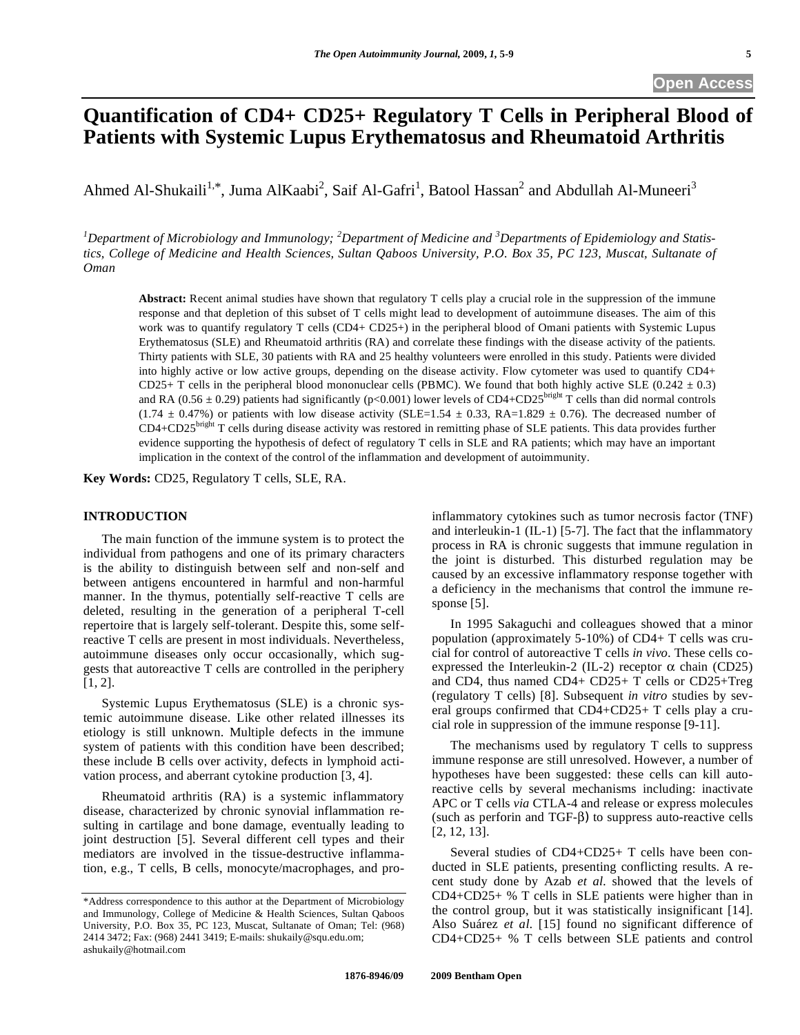# **Quantification of CD4+ CD25+ Regulatory T Cells in Peripheral Blood of Patients with Systemic Lupus Erythematosus and Rheumatoid Arthritis**

Ahmed Al-Shukaili<sup>1,\*</sup>, Juma AlKaabi<sup>2</sup>, Saif Al-Gafri<sup>1</sup>, Batool Hassan<sup>2</sup> and Abdullah Al-Muneeri<sup>3</sup>

<sup>1</sup>Department of Microbiology and Immunology; <sup>2</sup>Department of Medicine and <sup>3</sup>Departments of Epidemiology and Statis*tics, College of Medicine and Health Sciences, Sultan Qaboos University, P.O. Box 35, PC 123, Muscat, Sultanate of Oman* 

**Abstract:** Recent animal studies have shown that regulatory T cells play a crucial role in the suppression of the immune response and that depletion of this subset of T cells might lead to development of autoimmune diseases. The aim of this work was to quantify regulatory T cells (CD4+ CD25+) in the peripheral blood of Omani patients with Systemic Lupus Erythematosus (SLE) and Rheumatoid arthritis (RA) and correlate these findings with the disease activity of the patients. Thirty patients with SLE, 30 patients with RA and 25 healthy volunteers were enrolled in this study. Patients were divided into highly active or low active groups, depending on the disease activity. Flow cytometer was used to quantify CD4+ CD25+ T cells in the peripheral blood mononuclear cells (PBMC). We found that both highly active SLE (0.242  $\pm$  0.3) and RA ( $0.56 \pm 0.29$ ) patients had significantly (p<0.001) lower levels of CD4+CD25<sup>bright</sup> T cells than did normal controls  $(1.74 \pm 0.47\%)$  or patients with low disease activity (SLE=1.54  $\pm$  0.33, RA=1.829  $\pm$  0.76). The decreased number of  $CD4+CD25<sup>bright</sup>$  T cells during disease activity was restored in remitting phase of SLE patients. This data provides further evidence supporting the hypothesis of defect of regulatory T cells in SLE and RA patients; which may have an important implication in the context of the control of the inflammation and development of autoimmunity.

**Key Words:** CD25, Regulatory T cells, SLE, RA.

# **INTRODUCTION**

 The main function of the immune system is to protect the individual from pathogens and one of its primary characters is the ability to distinguish between self and non-self and between antigens encountered in harmful and non-harmful manner. In the thymus, potentially self-reactive T cells are deleted, resulting in the generation of a peripheral T-cell repertoire that is largely self-tolerant. Despite this, some selfreactive T cells are present in most individuals. Nevertheless, autoimmune diseases only occur occasionally, which suggests that autoreactive T cells are controlled in the periphery [1, 2].

 Systemic Lupus Erythematosus (SLE) is a chronic systemic autoimmune disease. Like other related illnesses its etiology is still unknown. Multiple defects in the immune system of patients with this condition have been described; these include B cells over activity, defects in lymphoid activation process, and aberrant cytokine production [3, 4].

 Rheumatoid arthritis (RA) is a systemic inflammatory disease, characterized by chronic synovial inflammation resulting in cartilage and bone damage, eventually leading to joint destruction [5]. Several different cell types and their mediators are involved in the tissue-destructive inflammation, e.g., T cells, B cells, monocyte/macrophages, and proinflammatory cytokines such as tumor necrosis factor (TNF) and interleukin-1 (IL-1) [5-7]. The fact that the inflammatory process in RA is chronic suggests that immune regulation in the joint is disturbed. This disturbed regulation may be caused by an excessive inflammatory response together with a deficiency in the mechanisms that control the immune response [5].

 In 1995 Sakaguchi and colleagues showed that a minor population (approximately 5-10%) of CD4+ T cells was crucial for control of autoreactive T cells *in vivo*. These cells coexpressed the Interleukin-2 (IL-2) receptor  $\alpha$  chain (CD25) and CD4, thus named CD4+ CD25+ T cells or CD25+Treg (regulatory T cells) [8]. Subsequent *in vitro* studies by several groups confirmed that CD4+CD25+ T cells play a crucial role in suppression of the immune response [9-11].

 The mechanisms used by regulatory T cells to suppress immune response are still unresolved. However, a number of hypotheses have been suggested: these cells can kill autoreactive cells by several mechanisms including: inactivate APC or T cells *via* CTLA-4 and release or express molecules (such as perforin and TGF- $\beta$ ) to suppress auto-reactive cells [2, 12, 13].

 Several studies of CD4+CD25+ T cells have been conducted in SLE patients, presenting conflicting results. A recent study done by Azab *et al.* showed that the levels of CD4+CD25+ % T cells in SLE patients were higher than in the control group, but it was statistically insignificant [14]. Also Suárez *et al*. [15] found no significant difference of CD4+CD25+ % T cells between SLE patients and control

<sup>\*</sup>Address correspondence to this author at the Department of Microbiology and Immunology, College of Medicine & Health Sciences, Sultan Qaboos University, P.O. Box 35, PC 123, Muscat, Sultanate of Oman; Tel: (968) 2414 3472; Fax: (968) 2441 3419; E-mails: shukaily@squ.edu.om; ashukaily@hotmail.com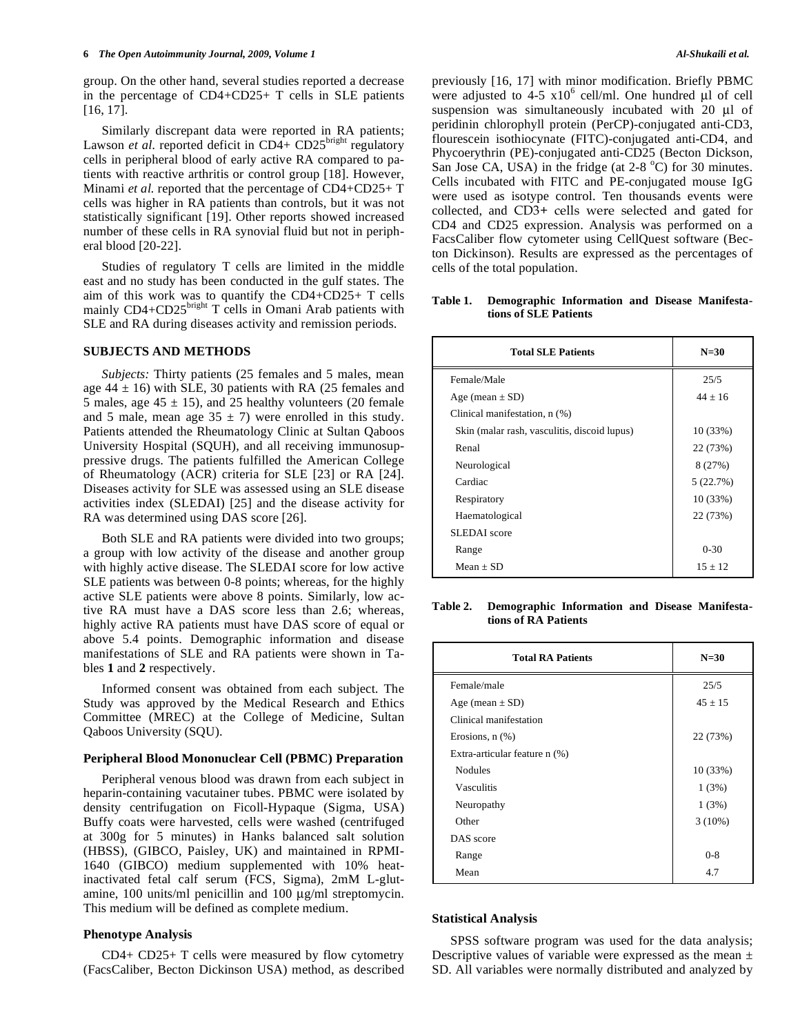group. On the other hand, several studies reported a decrease in the percentage of CD4+CD25+ T cells in SLE patients [16, 17].

 Similarly discrepant data were reported in RA patients; Lawson *et al.* reported deficit in  $CD4+CD25^{\text{bright}}$  regulatory cells in peripheral blood of early active RA compared to patients with reactive arthritis or control group [18]. However, Minami *et al.* reported that the percentage of CD4+CD25+ T cells was higher in RA patients than controls, but it was not statistically significant [19]. Other reports showed increased number of these cells in RA synovial fluid but not in peripheral blood [20-22].

 Studies of regulatory T cells are limited in the middle east and no study has been conducted in the gulf states. The aim of this work was to quantify the CD4+CD25+ T cells mainly  $CD4+CD25^{\text{bright}}$  T cells in Omani Arab patients with SLE and RA during diseases activity and remission periods.

# **SUBJECTS AND METHODS**

 *Subjects:* Thirty patients (25 females and 5 males, mean age  $44 \pm 16$ ) with SLE, 30 patients with RA (25 females and 5 males, age  $45 \pm 15$ ), and 25 healthy volunteers (20 female and 5 male, mean age  $35 \pm 7$ ) were enrolled in this study. Patients attended the Rheumatology Clinic at Sultan Qaboos University Hospital (SQUH), and all receiving immunosuppressive drugs. The patients fulfilled the American College of Rheumatology (ACR) criteria for SLE [23] or RA [24]. Diseases activity for SLE was assessed using an SLE disease activities index (SLEDAI) [25] and the disease activity for RA was determined using DAS score [26].

 Both SLE and RA patients were divided into two groups; a group with low activity of the disease and another group with highly active disease. The SLEDAI score for low active SLE patients was between 0-8 points; whereas, for the highly active SLE patients were above 8 points. Similarly, low active RA must have a DAS score less than 2.6; whereas, highly active RA patients must have DAS score of equal or above 5.4 points. Demographic information and disease manifestations of SLE and RA patients were shown in Tables **1** and **2** respectively.

 Informed consent was obtained from each subject. The Study was approved by the Medical Research and Ethics Committee (MREC) at the College of Medicine, Sultan Qaboos University (SQU).

#### **Peripheral Blood Mononuclear Cell (PBMC) Preparation**

 Peripheral venous blood was drawn from each subject in heparin-containing vacutainer tubes. PBMC were isolated by density centrifugation on Ficoll-Hypaque (Sigma, USA) Buffy coats were harvested, cells were washed (centrifuged at 300g for 5 minutes) in Hanks balanced salt solution (HBSS), (GIBCO, Paisley, UK) and maintained in RPMI-1640 (GIBCO) medium supplemented with 10% heatinactivated fetal calf serum (FCS, Sigma), 2mM L-glutamine, 100 units/ml penicillin and 100 μg/ml streptomycin. This medium will be defined as complete medium.

## **Phenotype Analysis**

 CD4+ CD25+ T cells were measured by flow cytometry (FacsCaliber, Becton Dickinson USA) method, as described previously [16, 17] with minor modification. Briefly PBMC were adjusted to  $4-5 \times 10^6$  cell/ml. One hundred μl of cell suspension was simultaneously incubated with 20 μl of peridinin chlorophyll protein (PerCP)-conjugated anti-CD3, flourescein isothiocynate (FITC)-conjugated anti-CD4, and Phycoerythrin (PE)-conjugated anti-CD25 (Becton Dickson, San Jose CA, USA) in the fridge (at 2-8 °C) for 30 minutes. Cells incubated with FITC and PE-conjugated mouse IgG were used as isotype control. Ten thousands events were collected, and CD3+ cells were selected and gated for CD4 and CD25 expression. Analysis was performed on a FacsCaliber flow cytometer using CellQuest software (Becton Dickinson). Results are expressed as the percentages of cells of the total population.

## **Table 1. Demographic Information and Disease Manifestations of SLE Patients**

| <b>Total SLE Patients</b>                    | $N=30$    |
|----------------------------------------------|-----------|
| Female/Male                                  | 25/5      |
| Age (mean $\pm$ SD)                          | $44 + 16$ |
| Clinical manifestation, n (%)                |           |
| Skin (malar rash, vasculitis, discoid lupus) | 10(33%)   |
| Renal                                        | 22 (73%)  |
| Neurological                                 | 8 (27%)   |
| Cardiac                                      | 5(22.7%)  |
| Respiratory                                  | 10(33%)   |
| Haematological                               | 22 (73%)  |
| SLEDAI score                                 |           |
| Range                                        | $0 - 30$  |
| $Mean + SD$                                  | $15 + 12$ |

**Table 2. Demographic Information and Disease Manifestations of RA Patients** 

| <b>Total RA Patients</b>      | $N=30$      |
|-------------------------------|-------------|
| Female/male                   | 25/5        |
| Age (mean $\pm$ SD)           | $45 \pm 15$ |
| Clinical manifestation        |             |
| Erosions, $n$ $(\%)$          | 22 (73%)    |
| Extra-articular feature n (%) |             |
| <b>Nodules</b>                | 10 (33%)    |
| <b>Vasculitis</b>             | 1(3%)       |
| Neuropathy                    | 1(3%)       |
| Other                         | 3(10%)      |
| DAS score                     |             |
| Range                         | $0 - 8$     |
| Mean                          | 4.7         |

#### **Statistical Analysis**

 SPSS software program was used for the data analysis; Descriptive values of variable were expressed as the mean  $\pm$ SD. All variables were normally distributed and analyzed by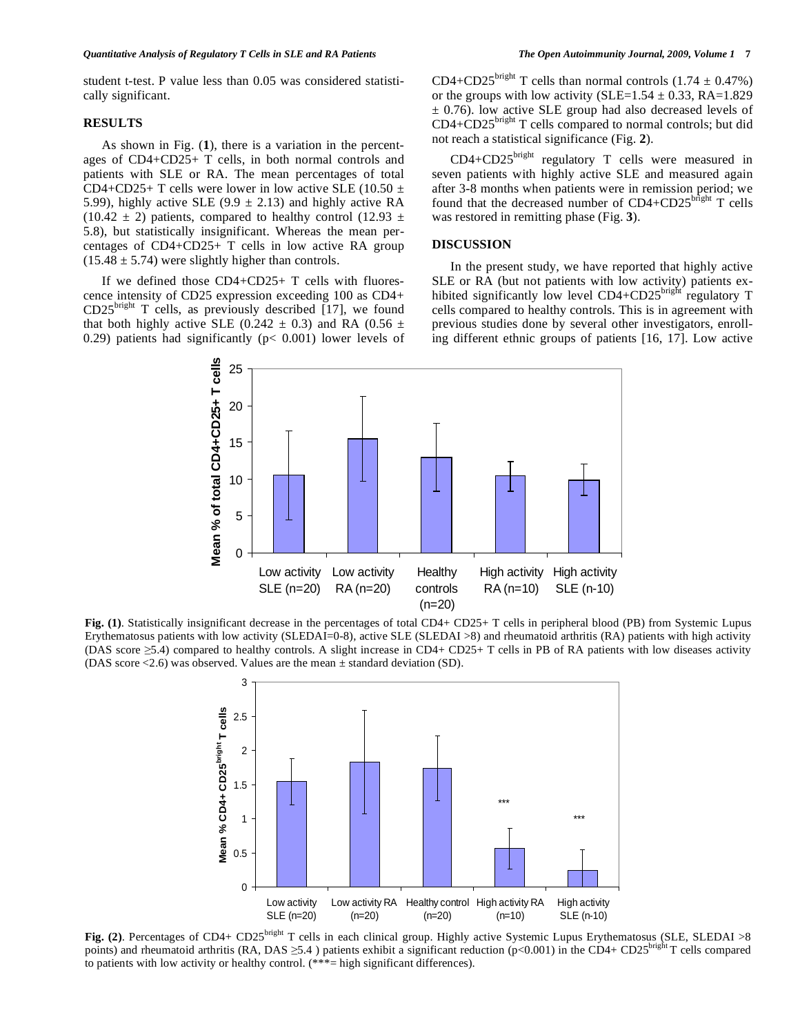student t-test. P value less than 0.05 was considered statistically significant.

# **RESULTS**

 As shown in Fig. (**1**), there is a variation in the percentages of CD4+CD25+ T cells, in both normal controls and patients with SLE or RA. The mean percentages of total CD4+CD25+ T cells were lower in low active SLE (10.50  $\pm$ 5.99), highly active SLE (9.9  $\pm$  2.13) and highly active RA  $(10.42 \pm 2)$  patients, compared to healthy control  $(12.93 \pm 1)$ 5.8), but statistically insignificant. Whereas the mean percentages of CD4+CD25+ T cells in low active RA group  $(15.48 \pm 5.74)$  were slightly higher than controls.

 If we defined those CD4+CD25+ T cells with fluorescence intensity of CD25 expression exceeding 100 as CD4+  $CD25^{\text{bright}}$  T cells, as previously described [17], we found that both highly active SLE (0.242  $\pm$  0.3) and RA (0.56  $\pm$ 0.29) patients had significantly ( $p$ < 0.001) lower levels of CD4+CD25<sup>bright</sup> T cells than normal controls  $(1.74 \pm 0.47\%)$ or the groups with low activity (SLE= $1.54 \pm 0.33$ , RA= $1.829$ )  $\pm$  0.76). low active SLE group had also decreased levels of  $CD4 + CD25$ <sup>bright</sup> T cells compared to normal controls; but did not reach a statistical significance (Fig. **2**).

 CD4+CD25bright regulatory T cells were measured in seven patients with highly active SLE and measured again after 3-8 months when patients were in remission period; we found that the decreased number of  $CD4+CD25^{\text{bright}}$  T cells was restored in remitting phase (Fig. **3**).

# **DISCUSSION**

 In the present study, we have reported that highly active SLE or RA (but not patients with low activity) patients exhibited significantly low level  $CD4+CD25^{\text{bright}}$  regulatory T cells compared to healthy controls. This is in agreement with previous studies done by several other investigators, enrolling different ethnic groups of patients [16, 17]. Low active



**Fig. (1)**. Statistically insignificant decrease in the percentages of total CD4+ CD25+ T cells in peripheral blood (PB) from Systemic Lupus Erythematosus patients with low activity (SLEDAI=0-8), active SLE (SLEDAI >8) and rheumatoid arthritis (RA) patients with high activity (DAS score  $\geq$ 5.4) compared to healthy controls. A slight increase in CD4+ CD25+ T cells in PB of RA patients with low diseases activity (DAS score <2.6) was observed. Values are the mean ± standard deviation (SD).



**Fig.** (2). Percentages of CD4+ CD25<sup>bright</sup> T cells in each clinical group. Highly active Systemic Lupus Erythematosus (SLE, SLEDAI >8 points) and rheumatoid arthritis (RA, DAS  $\geq$ 5.4) patients exhibit a significant reduction (p<0.001) in the CD4+ CD25<sup>bright</sup> T cells compared to patients with low activity or healthy control. (\*\*\*= high significant differences).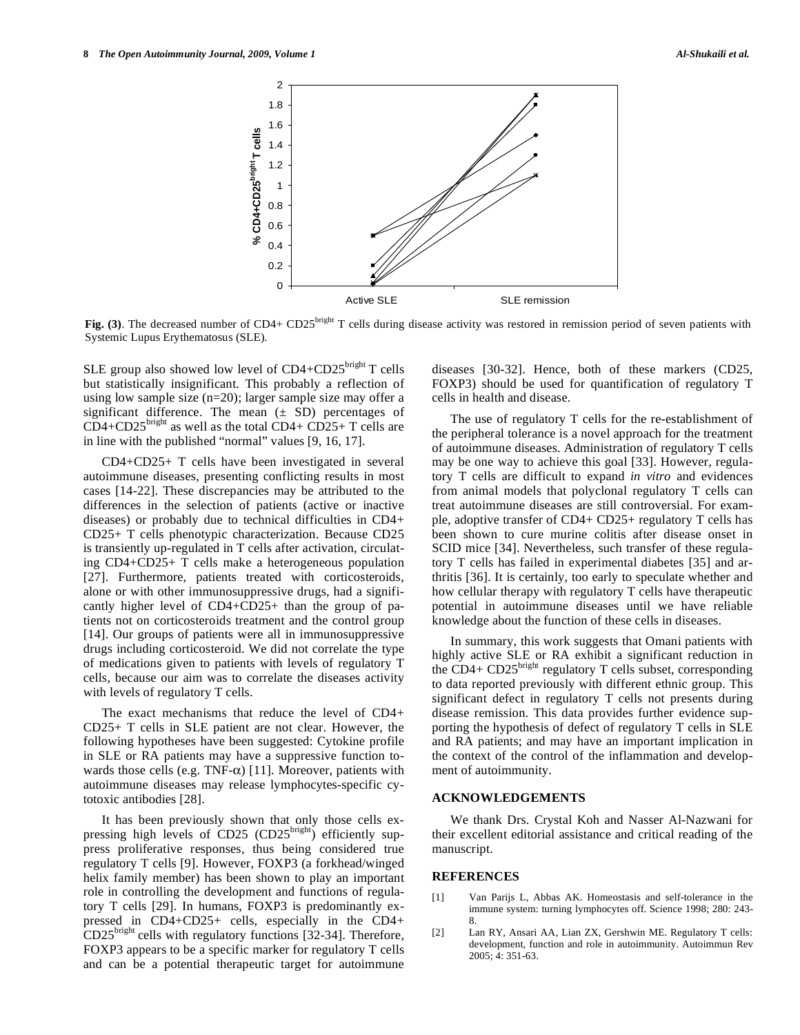

Fig. (3). The decreased number of CD4+ CD25<sup>bright</sup> T cells during disease activity was restored in remission period of seven patients with Systemic Lupus Erythematosus (SLE).

SLE group also showed low level of CD4+CD25bright T cells but statistically insignificant. This probably a reflection of using low sample size (n=20); larger sample size may offer a significant difference. The mean  $(\pm SD)$  percentages of  $CD4+CD25<sup>bright</sup>$  as well as the total  $CD4+CD25+T$  cells are in line with the published "normal" values [9, 16, 17].

 CD4+CD25+ T cells have been investigated in several autoimmune diseases, presenting conflicting results in most cases [14-22]. These discrepancies may be attributed to the differences in the selection of patients (active or inactive diseases) or probably due to technical difficulties in CD4+ CD25+ T cells phenotypic characterization. Because CD25 is transiently up-regulated in T cells after activation, circulating CD4+CD25+ T cells make a heterogeneous population [27]. Furthermore, patients treated with corticosteroids, alone or with other immunosuppressive drugs, had a significantly higher level of CD4+CD25+ than the group of patients not on corticosteroids treatment and the control group [14]. Our groups of patients were all in immunosuppressive drugs including corticosteroid. We did not correlate the type of medications given to patients with levels of regulatory T cells, because our aim was to correlate the diseases activity with levels of regulatory T cells.

 The exact mechanisms that reduce the level of CD4+ CD25+ T cells in SLE patient are not clear. However, the following hypotheses have been suggested: Cytokine profile in SLE or RA patients may have a suppressive function towards those cells (e.g. TNF- $\alpha$ ) [11]. Moreover, patients with autoimmune diseases may release lymphocytes-specific cytotoxic antibodies [28].

 It has been previously shown that only those cells expressing high levels of CD25 (CD25<sup>bright</sup>) efficiently suppress proliferative responses, thus being considered true regulatory T cells [9]. However, FOXP3 (a forkhead/winged helix family member) has been shown to play an important role in controlling the development and functions of regulatory T cells [29]. In humans, FOXP3 is predominantly expressed in CD4+CD25+ cells, especially in the CD4+  $CD25<sup>bright</sup>$  cells with regulatory functions [32-34]. Therefore, FOXP3 appears to be a specific marker for regulatory T cells and can be a potential therapeutic target for autoimmune diseases [30-32]. Hence, both of these markers (CD25, FOXP3) should be used for quantification of regulatory T cells in health and disease.

 The use of regulatory T cells for the re-establishment of the peripheral tolerance is a novel approach for the treatment of autoimmune diseases. Administration of regulatory T cells may be one way to achieve this goal [33]. However, regulatory T cells are difficult to expand *in vitro* and evidences from animal models that polyclonal regulatory T cells can treat autoimmune diseases are still controversial. For example, adoptive transfer of CD4+ CD25+ regulatory T cells has been shown to cure murine colitis after disease onset in SCID mice [34]. Nevertheless, such transfer of these regulatory T cells has failed in experimental diabetes [35] and arthritis [36]. It is certainly, too early to speculate whether and how cellular therapy with regulatory T cells have therapeutic potential in autoimmune diseases until we have reliable knowledge about the function of these cells in diseases.

 In summary, this work suggests that Omani patients with highly active SLE or RA exhibit a significant reduction in the CD4+ CD25<sup>bright</sup> regulatory T cells subset, corresponding to data reported previously with different ethnic group. This significant defect in regulatory T cells not presents during disease remission. This data provides further evidence supporting the hypothesis of defect of regulatory T cells in SLE and RA patients; and may have an important implication in the context of the control of the inflammation and development of autoimmunity.

# **ACKNOWLEDGEMENTS**

 We thank Drs. Crystal Koh and Nasser Al-Nazwani for their excellent editorial assistance and critical reading of the manuscript.

# **REFERENCES**

- [1] Van Parijs L, Abbas AK. Homeostasis and self-tolerance in the immune system: turning lymphocytes off. Science 1998; 280: 243- 8.
- [2] Lan RY, Ansari AA, Lian ZX, Gershwin ME. Regulatory T cells: development, function and role in autoimmunity. Autoimmun Rev 2005; 4: 351-63.